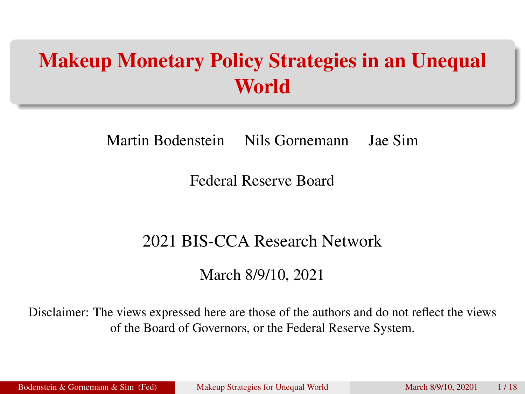# Makeup Monetary Policy Strategies in an Unequal World

Martin Bodenstein Nils Gornemann Jae Sim

Federal Reserve Board

#### 2021 BIS-CCA Research Network

<span id="page-0-0"></span>March 8/9/10, 2021

Disclaimer: The views expressed here are those of the authors and do not reflect the views of the Board of Governors, or the Federal Reserve System.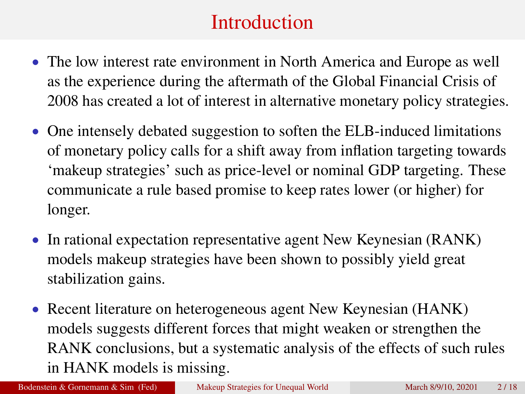# **Introduction**

- The low interest rate environment in North America and Europe as well as the experience during the aftermath of the Global Financial Crisis of 2008 has created a lot of interest in alternative monetary policy strategies.
- One intensely debated suggestion to soften the ELB-induced limitations of monetary policy calls for a shift away from inflation targeting towards 'makeup strategies' such as price-level or nominal GDP targeting. These communicate a rule based promise to keep rates lower (or higher) for longer.
- In rational expectation representative agent New Keynesian (RANK) models makeup strategies have been shown to possibly yield great stabilization gains.
- Recent literature on heterogeneous agent New Keynesian (HANK) models suggests different forces that might weaken or strengthen the RANK conclusions, but a systematic analysis of the effects of such rules in HANK models is missing.

Bodenstein & Gornemann & Sim (Fed) [Makeup Strategies for Unequal World](#page-0-0) March 8/9/10, 20201 2/18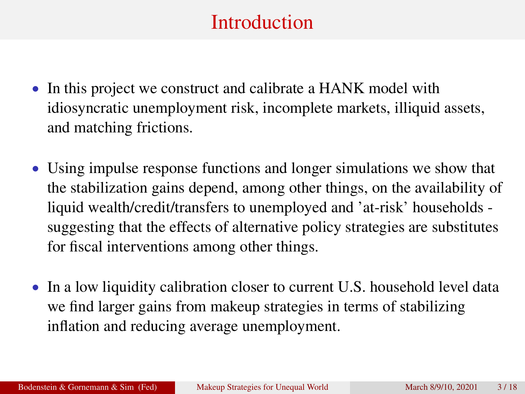# Introduction

- In this project we construct and calibrate a HANK model with idiosyncratic unemployment risk, incomplete markets, illiquid assets, and matching frictions.
- Using impulse response functions and longer simulations we show that the stabilization gains depend, among other things, on the availability of liquid wealth/credit/transfers to unemployed and 'at-risk' households suggesting that the effects of alternative policy strategies are substitutes for fiscal interventions among other things.
- In a low liquidity calibration closer to current U.S. household level data we find larger gains from makeup strategies in terms of stabilizing inflation and reducing average unemployment.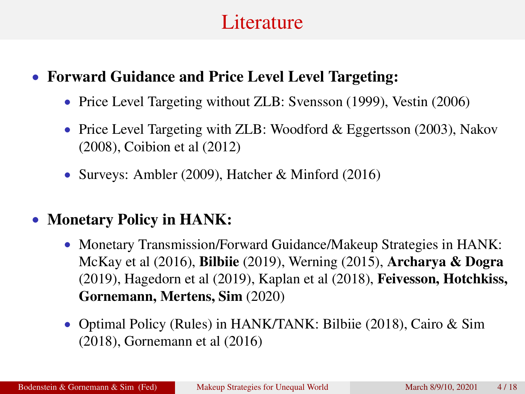## **Literature**

#### • Forward Guidance and Price Level Level Targeting:

- Price Level Targeting without ZLB: Svensson (1999), Vestin (2006)
- Price Level Targeting with ZLB: Woodford & Eggertsson (2003), Nakov (2008), Coibion et al (2012)
- Surveys: Ambler (2009), Hatcher & Minford (2016)
- Monetary Policy in HANK:
	- Monetary Transmission/Forward Guidance/Makeup Strategies in HANK: McKay et al (2016), Bilbiie (2019), Werning (2015), Archarya & Dogra (2019), Hagedorn et al (2019), Kaplan et al (2018), Feivesson, Hotchkiss, Gornemann, Mertens, Sim (2020)
	- Optimal Policy (Rules) in HANK/TANK: Bilbiie (2018), Cairo & Sim (2018), Gornemann et al (2016)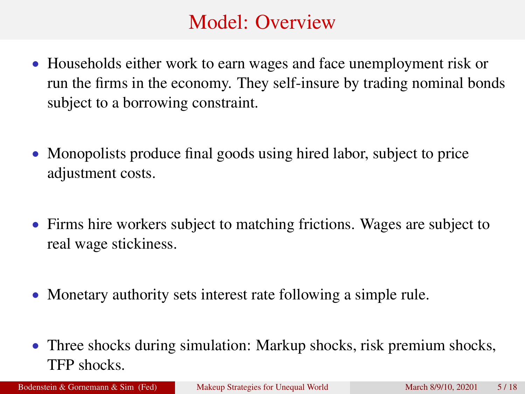# Model: Overview

- Households either work to earn wages and face unemployment risk or run the firms in the economy. They self-insure by trading nominal bonds subject to a borrowing constraint.
- Monopolists produce final goods using hired labor, subject to price adjustment costs.
- Firms hire workers subject to matching frictions. Wages are subject to real wage stickiness.
- Monetary authority sets interest rate following a simple rule.
- Three shocks during simulation: Markup shocks, risk premium shocks, TFP shocks.

Bodenstein & Gornemann & Sim (Fed) [Makeup Strategies for Unequal World](#page-0-0) March 8/9/10, 20201 5/18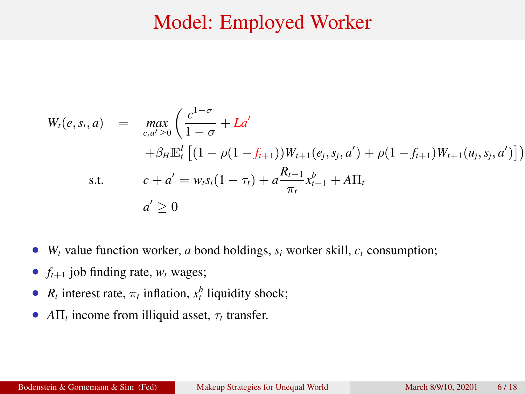### Model: Employed Worker

$$
W_t(e, s_i, a) = \max_{c, a' \ge 0} \left( \frac{c^{1-\sigma}}{1-\sigma} + La' + \beta_H \mathbb{E}_t^I \left[ (1-\rho(1-f_{t+1}))W_{t+1}(e_j, s_j, a') + \rho(1-f_{t+1})W_{t+1}(u_j, s_j, a') \right] \right)
$$
  
s.t. 
$$
c + a' = w_t s_i (1 - \tau_t) + a \frac{R_{t-1}}{\pi_t} x_{t-1}^b + A\Pi_t
$$

$$
a' \ge 0
$$

- $W_t$  value function worker, *a* bond holdings,  $s_i$  worker skill,  $c_t$  consumption;
- $f_{t+1}$  job finding rate,  $w_t$  wages;
- $R_t$  interest rate,  $\pi_t$  inflation,  $x_t^b$  liquidity shock;
- $A\Pi_t$  income from illiquid asset,  $\tau_t$  transfer.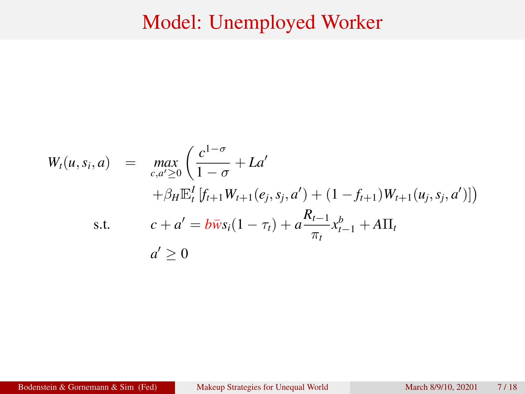#### Model: Unemployed Worker

$$
W_t(u, s_i, a) = \max_{c, a' \ge 0} \left( \frac{c^{1-\sigma}}{1-\sigma} + La' + \beta_H \mathbb{E}_t^l \left[ f_{t+1} W_{t+1}(e_j, s_j, a') + (1 - f_{t+1}) W_{t+1}(u_j, s_j, a') \right] \right)
$$
  
s.t. 
$$
c + a' = b \overline{w} s_i (1 - \tau_t) + a \frac{R_{t-1}}{\pi_t} x_{t-1}^b + A \Pi_t
$$

$$
a' \ge 0
$$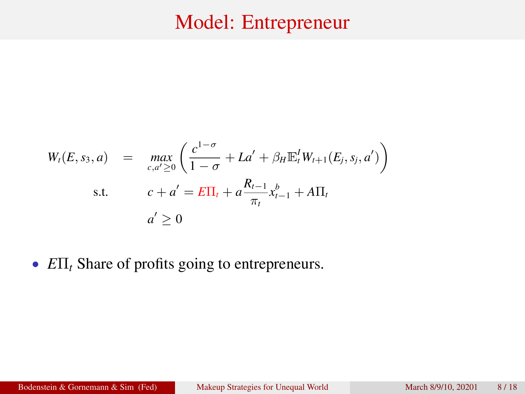## Model: Entrepreneur

$$
W_t(E, s_3, a) = \max_{c, a' \ge 0} \left( \frac{c^{1-\sigma}}{1-\sigma} + La' + \beta_H \mathbb{E}_t^I W_{t+1}(E_j, s_j, a') \right)
$$
  
s.t. 
$$
c + a' = E\Pi_t + a \frac{R_{t-1}}{\pi_t} x_{t-1}^b + A\Pi_t
$$

$$
a' \ge 0
$$

• *E*Π*<sup>t</sup>* Share of profits going to entrepreneurs.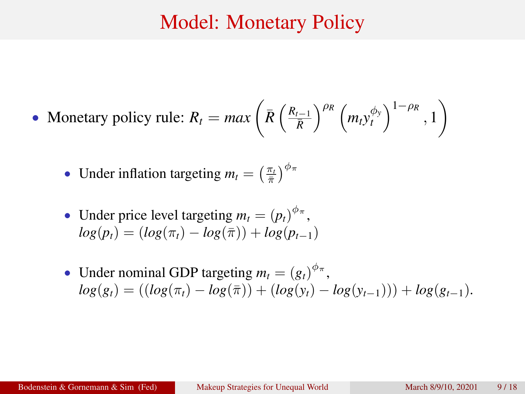#### Model: Monetary Policy

• Monetary policy rule: 
$$
R_t = max \left( \bar{R} \left( \frac{R_{t-1}}{\bar{R}} \right)^{\rho_R} \left( m_t y_t^{\phi_y} \right)^{1-\rho_R}, 1 \right)
$$

- Under inflation targeting  $m_t = \left(\frac{\pi_t}{\bar{\pi}}\right)^{\phi_{\pi}}$
- Under price level targeting  $m_t = (p_t)^{\phi_{\pi}},$  $log(p_t) = (log(\pi_t) - log(\bar{\pi})) + log(p_{t-1})$
- Under nominal GDP targeting  $m_t = (g_t)^{\phi_{\pi}},$  $log(g_t) = ((log(\pi_t) - log(\bar{\pi})) + (log(y_t) - log(y_{t-1}))) + log(g_{t-1}).$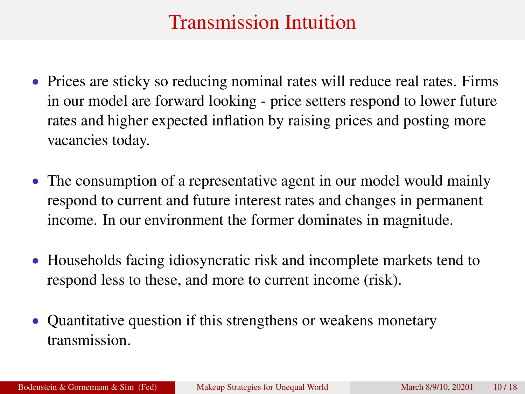# Transmission Intuition

- Prices are sticky so reducing nominal rates will reduce real rates. Firms in our model are forward looking - price setters respond to lower future rates and higher expected inflation by raising prices and posting more vacancies today.
- The consumption of a representative agent in our model would mainly respond to current and future interest rates and changes in permanent income. In our environment the former dominates in magnitude.
- Households facing idiosyncratic risk and incomplete markets tend to respond less to these, and more to current income (risk).
- Quantitative question if this strengthens or weakens monetary transmission.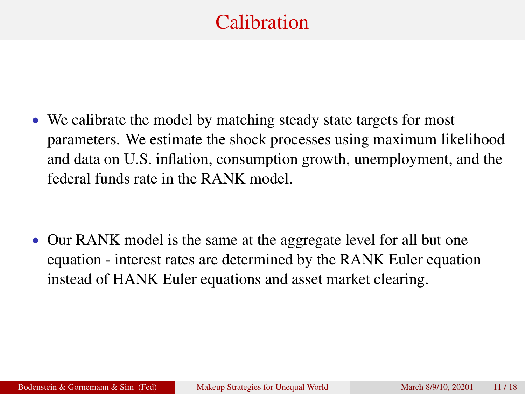# **Calibration**

• We calibrate the model by matching steady state targets for most parameters. We estimate the shock processes using maximum likelihood and data on U.S. inflation, consumption growth, unemployment, and the federal funds rate in the RANK model.

• Our RANK model is the same at the aggregate level for all but one equation - interest rates are determined by the RANK Euler equation instead of HANK Euler equations and asset market clearing.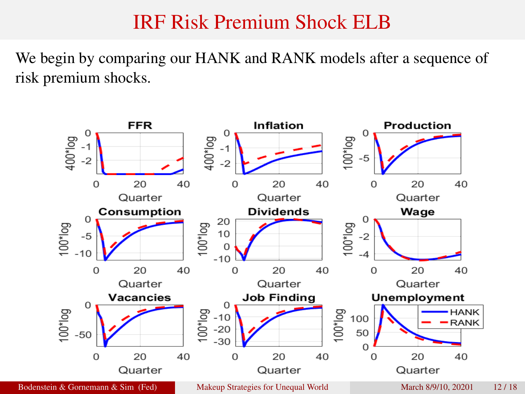## IRF Risk Premium Shock ELB

We begin by comparing our HANK and RANK models after a sequence of risk premium shocks.

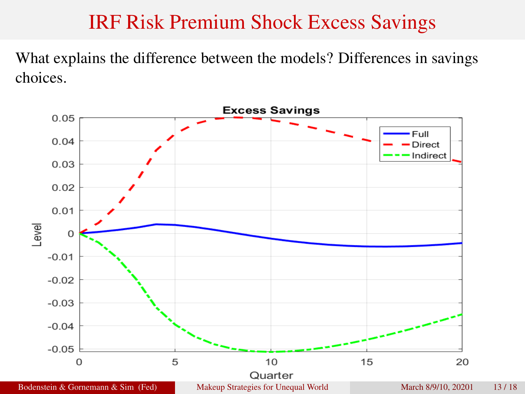## IRF Risk Premium Shock Excess Savings

What explains the difference between the models? Differences in savings choices.

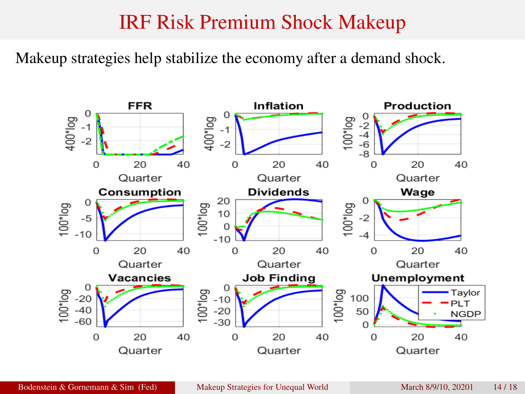#### IRF Risk Premium Shock Makeup

Makeup strategies help stabilize the economy after a demand shock.

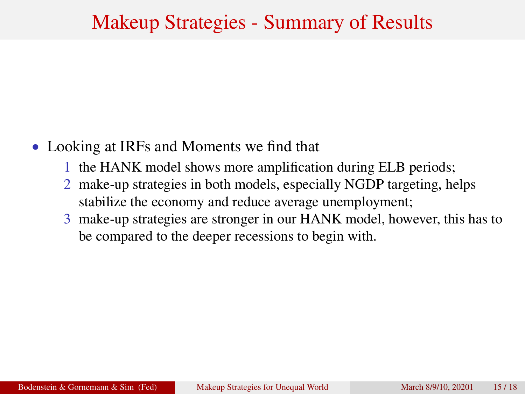## Makeup Strategies - Summary of Results

#### • Looking at IRFs and Moments we find that

- 1 the HANK model shows more amplification during ELB periods;
- 2 make-up strategies in both models, especially NGDP targeting, helps stabilize the economy and reduce average unemployment;
- 3 make-up strategies are stronger in our HANK model, however, this has to be compared to the deeper recessions to begin with.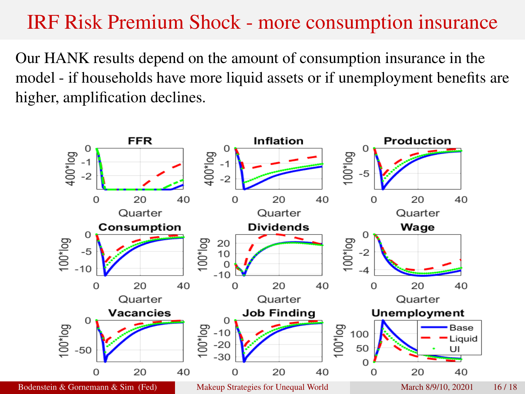### IRF Risk Premium Shock - more consumption insurance

Our HANK results depend on the amount of consumption insurance in the model - if households have more liquid assets or if unemployment benefits are higher, amplification declines.

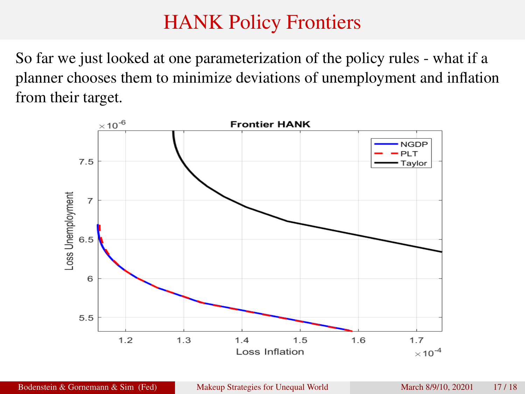# HANK Policy Frontiers

So far we just looked at one parameterization of the policy rules - what if a planner chooses them to minimize deviations of unemployment and inflation from their target.

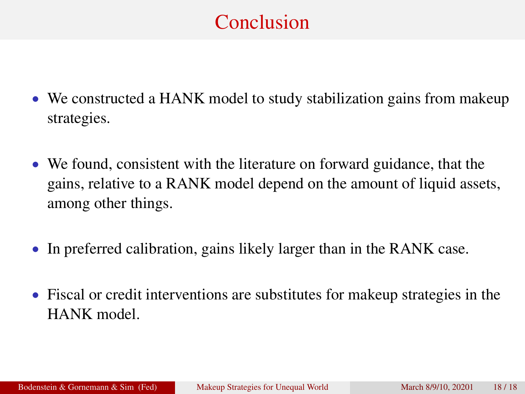# Conclusion

- We constructed a HANK model to study stabilization gains from makeup strategies.
- We found, consistent with the literature on forward guidance, that the gains, relative to a RANK model depend on the amount of liquid assets, among other things.
- In preferred calibration, gains likely larger than in the RANK case.
- Fiscal or credit interventions are substitutes for makeup strategies in the HANK model.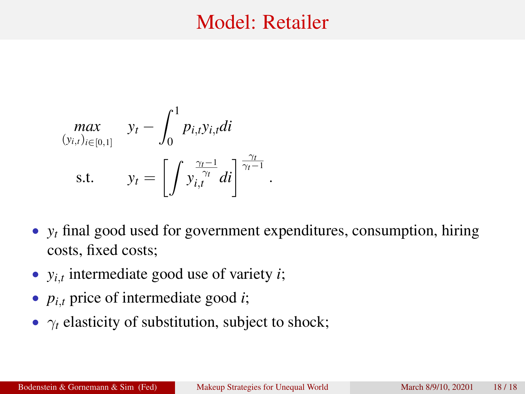### Model: Retailer

$$
\begin{aligned}\n\max_{(y_{i,t})_{i\in[0,1]}} \quad y_t - \int_0^1 p_{i,t} y_{i,t} dt \\
\text{s.t.} \quad y_t = \left[ \int y_{i,t}^{\frac{\gamma_t - 1}{\gamma_t}} dt \right]^{\frac{\gamma_t}{\gamma_t - 1}}\n\end{aligned}
$$

• *y<sub>t</sub>* final good used for government expenditures, consumption, hiring costs, fixed costs;

.

- *yi*,*<sup>t</sup>* intermediate good use of variety *i*;
- *pi*,*<sup>t</sup>* price of intermediate good *i*;
- $\gamma_t$  elasticity of substitution, subject to shock;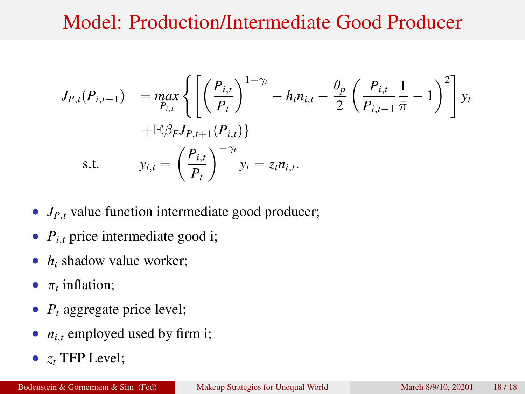# Model: Production/Intermediate Good Producer

$$
J_{P,t}(P_{i,t-1}) = \max_{P_{i,t}} \left\{ \left[ \left( \frac{P_{i,t}}{P_t} \right)^{1-\gamma_t} - h_t n_{i,t} - \frac{\theta_P}{2} \left( \frac{P_{i,t}}{P_{i,t-1}} \frac{1}{\bar{\pi}} - 1 \right)^2 \right] y_t \right. \\ \left. + \mathbb{E} \beta_F J_{P,t+1}(P_{i,t}) \right\}
$$
\ns.t.  $y_{i,t} = \left( \frac{P_{i,t}}{P_t} \right)^{-\gamma_t} y_t = z_t n_{i,t}.$ 

- *J<sub>P,t</sub>* value function intermediate good producer;
- $P_{i,t}$  price intermediate good i;
- *h<sub>t</sub>* shadow value worker;
- $\pi_t$  inflation;
- $P_t$  aggregate price level;
- $n_{i,t}$  employed used by firm i;
- *z<sup>t</sup>* TFP Level;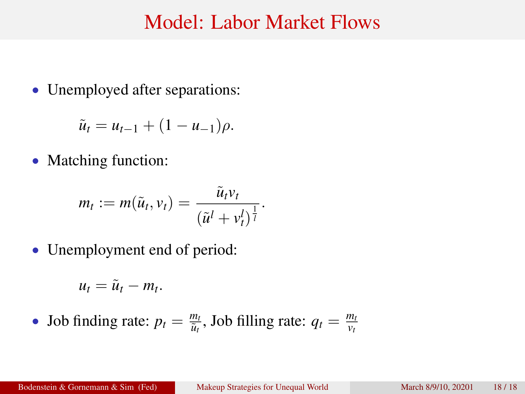#### Model: Labor Market Flows

• Unemployed after separations:

 $\tilde{u}_t = u_{t-1} + (1 - u_{-1})\rho.$ 

• Matching function:

$$
m_t := m(\tilde{u}_t, v_t) = \frac{\tilde{u}_t v_t}{(\tilde{u}^l + v_t^l)^{\frac{1}{l}}}.
$$

• Unemployment end of period:

$$
u_t = \tilde{u}_t - m_t.
$$

• Job finding rate:  $p_t = \frac{m_t}{\tilde{u}_t}$  $\frac{m_t}{\tilde{u}_t}$ , Job filling rate:  $q_t = \frac{m_t}{v_t}$ *vt*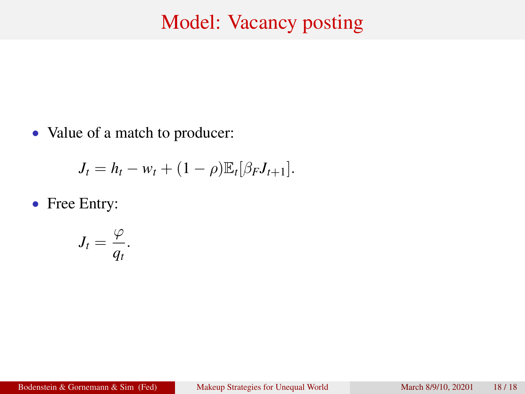## Model: Vacancy posting

• Value of a match to producer:

$$
J_t = h_t - w_t + (1 - \rho) \mathbb{E}_t[\beta_F J_{t+1}].
$$

• Free Entry:

$$
J_t=\frac{\varphi}{q_t}.
$$